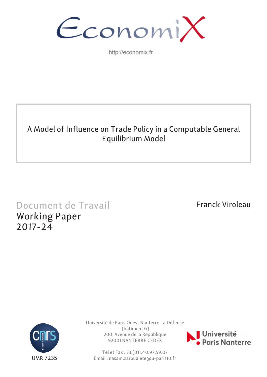

http://economix.fr

# A Model of Influence on Trade Policy in a Computable General Equilibrium Model

# Document de Travail Working Paper 2017-24

Franck Viroleau



Université de Paris Ouest Nanterre La Défense (bâtiment G) 200, Avenue de la République 92001 NANTERRE CEDEX



Tél et Fax : 33.(0)1.40.97.59.07 Email : nasam.zaroualete@u-paris10.fr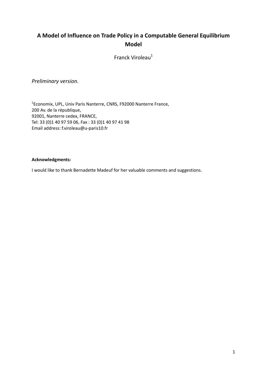# **A Model of Influence on Trade Policy in a Computable General Equilibrium Model**

Franck Viroleau<sup>1</sup>

*Preliminary version.*

1 Economix, UPL, Univ Paris Nanterre, CNRS, F92000 Nanterre France, 200 Av. de la république, 92001, Nanterre cedex, FRANCE, Tel: 33 (0)1 40 97 59 06, Fax : 33 (0)1 40 97 41 98 Email address: f.viroleau@u‐paris10.fr

#### **Acknowledgments:**

I would like to thank Bernadette Madeuf for her valuable comments and suggestions.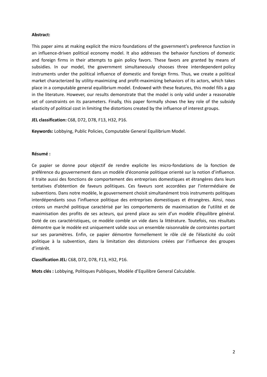#### **Abstract:**

This paper aims at making explicit the micro foundations of the government's preference function in an influence‐driven political economy model. It also addresses the behavior functions of domestic and foreign firms in their attempts to gain policy favors. These favors are granted by means of subsidies. In our model, the government simultaneously chooses three interdependent policy instruments under the political influence of domestic and foreign firms. Thus, we create a political market characterized by utility‐maximizing and profit‐maximizing behaviors of its actors, which takes place in a computable general equilibrium model. Endowed with these features, this model fills a gap in the literature. However, our results demonstrate that the model is only valid under a reasonable set of constraints on its parameters. Finally, this paper formally shows the key role of the subsidy elasticity of political cost in limiting the distortions created by the influence of interest groups.

**JEL classification:** C68, D72, D78, F13, H32, P16.

**Keywords:** Lobbying, Public Policies, Computable General Equilibrium Model.

#### **Résumé :**

Ce papier se donne pour objectif de rendre explicite les micro‐fondations de la fonction de préférence du gouvernement dans un modèle d'économie politique orienté sur la notion d'influence. Il traite aussi des fonctions de comportement des entreprises domestiques et étrangères dans leurs tentatives d'obtention de faveurs politiques. Ces faveurs sont accordées par l'intermédiaire de subventions. Dans notre modèle, le gouvernement choisit simultanément trois instruments politiques interdépendants sous l'influence politique des entreprises domestiques et étrangères. Ainsi, nous créons un marché politique caractérisé par les comportements de maximisation de l'utilité et de maximisation des profits de ses acteurs, qui prend place au sein d'un modèle d'équilibre général. Doté de ces caractéristiques, ce modèle comble un vide dans la littérature. Toutefois, nos résultats démontre que le modèle est uniquement valide sous un ensemble raisonnable de contraintes portant sur ses paramètres. Enfin, ce papier démontre formellement le rôle clé de l'élasticité du coût politique à la subvention, dans la limitation des distorsions créées par l'influence des groupes d'intérêt.

#### **Classification JEL:** C68, D72, D78, F13, H32, P16.

**Mots clés :** Lobbying, Politiques Publiques, Modèle d'Equilibre General Calculable.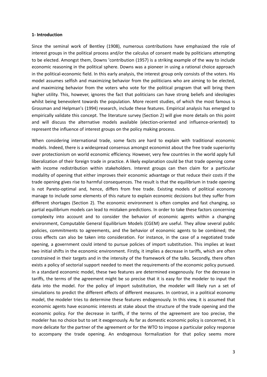#### **1‐ Introduction**

Since the seminal work of Bentley (1908), numerous contributions have emphasized the role of interest groups in the political process and/or the calculus of consent made by politicians attempting to be elected. Amongst them, Downs 'contribution (1957) is a striking example of the way to include economic reasoning in the political sphere. Downs was a pioneer in using a rational choice approach in the political‐economic field. In this early analysis, the interest group only consists of the voters. His model assumes selfish and maximizing behavior from the politicians who are aiming to be elected, and maximizing behavior from the voters who vote for the political program that will bring them higher utility. This, however, ignores the fact that politicians can have strong beliefs and ideologies whilst being benevolent towards the population. More recent studies, of which the most famous is Grossman and Helpman's (1994) research, include these features. Empirical analysis has emerged to empirically validate this concept. The literature survey (Section 2) will give more details on this point and will discuss the alternative models available (election-oriented and influence-oriented) to represent the influence of interest groups on the policy making process.

When considering international trade, some facts are hard to explain with traditional economic models. Indeed, there is a widespread consensus amongst economist about the free trade superiority over protectionism on world economic efficiency. However, very few countries in the world apply full liberalization of their foreign trade in practice. A likely explanation could be that trade opening come with income redistribution within stakeholders. Interest groups can then claim for a particular modality of opening that either improves their economic advantage or that reduce their costs if the trade opening gives rise to harmful consequences. The result is that the equilibrium in trade opening is not Pareto-optimal and, hence, differs from free trade. Existing models of political economy manage to include some elements of this nature to explain economic decisions but they suffer from different shortages (Section 2). The economic environment is often complex and fast changing, so partial equilibrium models can lead to mistaken predictions. In order to take these factors concerning complexity into account and to consider the behavior of economic agents within a changing environment, Computable General Equilibrium Models (CGEM) are useful. They allow several public policies, commitments to agreements, and the behavior of economic agents to be combined; the cross effects can also be taken into consideration. For instance, in the case of a negotiated trade opening, a government could intend to pursue policies of import substitution. This implies at least two initial shifts in the economic environment. Firstly, it implies a decrease in tariffs, which are often constrained in their targets and in the intensity of the framework of the talks. Secondly, there often exists a policy of sectorial support needed to meet the requirements of the economic policy pursued. In a standard economic model, these two features are determined exogenously. For the decrease in tariffs, the terms of the agreement might be so precise that it is easy for the modeler to input the data into the model. For the policy of import substitution, the modeler will likely run a set of simulations to predict the different effects of different measures. In contrast, in a political economy model, the modeler tries to determine these features endogenously. In this view, it is assumed that economic agents have economic interests at stake about the structure of the trade opening and the economic policy. For the decrease in tariffs, if the terms of the agreement are too precise, the modeler has no choice but to set it exogenously. As far as domestic economic policy is concerned, it is more delicate for the partner of the agreement or for the WTO to impose a particular policy response to accompany the trade opening. An endogenous formalization for that policy seems more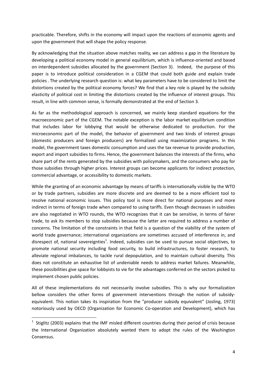practicable. Therefore, shifts in the economy will impact upon the reactions of economic agents and upon the government that will shape the policy response.

By acknowledging that the situation above matches reality, we can address a gap in the literature by developing a political economy model in general equilibrium, which is influence-oriented and based on interdependent subsidies allocated by the government (Section 3). Indeed, the purpose of this paper is to introduce political consideration in a CGEM that could both guide and explain trade policies. The underlying research question is: what key parameters have to be considered to limit the distortions created by the political economy forces? We find that a key role is played by the subsidy elasticity of political cost in limiting the distortions created by the influence of interest groups. This result, in line with common sense, is formally demonstrated at the end of Section 3.

As far as the methodological approach is concerned, we mainly keep standard equations for the macroeconomic part of the CGEM. The notable exception is the labor market equilibrium condition that includes labor for lobbying that would be otherwise dedicated to production. For the microeconomic part of the model, the behavior of government and two kinds of interest groups (domestic producers and foreign producers) are formalized using maximization programs. In this model, the government taxes domestic consumption and uses the tax revenue to provide production, export and import subsidies to firms. Hence, the government balances the interests of the firms, who share part of the rents generated by the subsidies with policymakers, and the consumers who pay for those subsidies through higher prices. Interest groups can become applicants for indirect protection, commercial advantage, or accessibility to domestic markets.

While the granting of an economic advantage by means of tariffs is internationally visible by the WTO or by trade partners, subsidies are more discrete and are deemed to be a more efficient tool to resolve national economic issues. This policy tool is more direct for national purposes and more indirect in terms of foreign trade when compared to using tariffs. Even though decreases in subsidies are also negotiated in WTO rounds, the WTO recognizes that it can be sensitive, in terms of fairer trade, to ask its members to stop subsidies because the latter are required to address a number of concerns. The limitation of the constraints in that field is a question of the viability of the system of world trade governance; international organizations are sometimes accused of interference in, and disrespect of, national sovereignties<sup>1</sup>. Indeed, subsidies can be used to pursue social objectives, to promote national security including food security, to build infrastructures, to foster research, to alleviate regional imbalances, to tackle rural depopulation, and to maintain cultural diversity. This does not constitute an exhaustive list of undeniable needs to address market failures. Meanwhile, these possibilities give space for lobbyists to vie for the advantages conferred on the sectors picked to implement chosen public policies.

All of these implementations do not necessarily involve subsidies. This is why our formalization bellow considers the other forms of government interventions through the notion of subsidy‐ equivalent. This notion takes its inspiration from the "producer subsidy equivalent" (Josling, 1973) notoriously used by OECD (Organization for Economic Co-operation and Development), which has

<sup>&</sup>lt;sup>1</sup> Stiglitz (2003) explains that the IMF misled different countries during their period of crisis because the International Organization absolutely wanted them to adopt the rules of the Washington Consensus.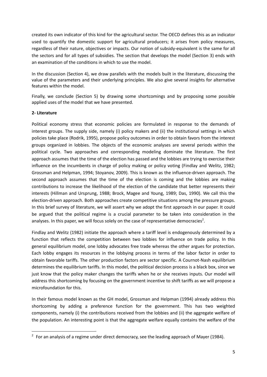created its own indicator of this kind for the agricultural sector. The OECD defines this as an indicator used to quantify the domestic support for agricultural producers; it arises from policy measures, regardless of their nature, objectives or impacts. Our notion of subsidy-equivalent is the same for all the sectors and for all types of subsidies. The section that develops the model (Section 3) ends with an examination of the conditions in which to use the model.

In the discussion (Section 4), we draw parallels with the models built in the literature, discussing the value of the parameters and their underlying principles. We also give several insights for alternative features within the model.

Finally, we conclude (Section 5) by drawing some shortcomings and by proposing some possible applied uses of the model that we have presented.

# **2‐ Literature**

Political economy stress that economic policies are formulated in response to the demands of interest groups. The supply side, namely (i) policy makers and (ii) the institutional settings in which policies take place (Rodrik, 1995), propose policy outcomes in order to obtain favors from the interest groups organized in lobbies. The objects of the economic analyses are several periods within the political cycle. Two approaches and corresponding modeling dominate the literature. The first approach assumes that the time of the election has passed and the lobbies are trying to exercise their influence on the incumbents in charge of policy making or policy voting (Findlay and Welitz, 1982; Grossman and Helpman, 1994; Stoyanov, 2009). This is known as the influence-driven approach. The second approach assumes that the time of the election is coming and the lobbies are making contributions to increase the likelihood of the election of the candidate that better represents their interests (Hillman and Ursprung, 1988; Brock, Magee and Young, 1989; Das, 1990). We call this the election-driven approach. Both approaches create competitive situations among the pressure groups. In this brief survey of literature, we will assert why we adopt the first approach in our paper. It could be argued that the political regime is a crucial parameter to be taken into consideration in the analyses. In this paper, we will focus solely on the case of representative democracies<sup>2</sup>.

Findlay and Welitz (1982) initiate the approach where a tariff level is endogenously determined by a function that reflects the competition between two lobbies for influence on trade policy. In this general equilibrium model, one lobby advocates free trade whereas the other argues for protection. Each lobby engages its resources in the lobbying process in terms of the labor factor in order to obtain favorable tariffs. The other production factors are sector specific. A Cournot‐Nash equilibrium determines the equilibrium tariffs. In this model, the political decision process is a black box, since we just know that the policy maker changes the tariffs when he or she receives inputs. Our model will address this shortcoming by focusing on the government incentive to shift tariffs as we will propose a microfoundation for this.

In their famous model known as the GH model, Grossman and Helpman (1994) already address this shortcoming by adding a preference function for the government. This has two weighted components, namely (i) the contributions received from the lobbies and (ii) the aggregate welfare of the population. An interesting point is that the aggregate welfare equally contains the welfare of the

 $2$  For an analysis of a regime under direct democracy, see the leading approach of Mayer (1984).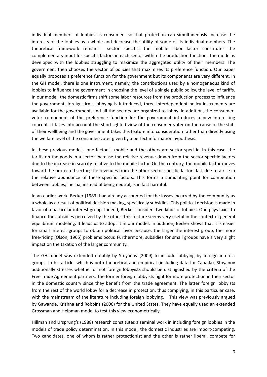individual members of lobbies as consumers so that protection can simultaneously increase the interests of the lobbies as a whole and decrease the utility of some of its individual members. The theoretical framework remains sector specific; the mobile labor factor constitutes the complementary input for specific factors in each sector within the production function. The model is developed with the lobbies struggling to maximize the aggregated utility of their members. The government then chooses the vector of policies that maximizes its preference function. Our paper equally proposes a preference function for the government but its components are very different. In the GH model, there is one instrument, namely, the contributions used by a homogeneous kind of lobbies to influence the government in choosing the level of a single public policy, the level of tariffs. In our model, the domestic firms shift some labor resources from the production process to influence the government, foreign firms lobbying is introduced, three interdependent policy instruments are available for the government, and all the sectors are organized to lobby. In addition, the consumer‐ voter component of the preference function for the government introduces a new interesting concept. It takes into account the shortsighted view of the consumer-voter on the cause of the shift of their wellbeing and the government takes this feature into consideration rather than directly using the welfare level of the consumer‐voter given by a perfect information hypothesis.

In these previous models, one factor is mobile and the others are sector specific. In this case, the tariffs on the goods in a sector increase the relative revenue drawn from the sector specific factors due to the increase in scarcity relative to the mobile factor. On the contrary, the mobile factor moves toward the protected sector; the revenues from the other sector specific factors fall, due to a rise in the relative abundance of these specific factors. This forms a stimulating point for competition between lobbies; inertia, instead of being neutral, is in fact harmful.

In an earlier work, Becker (1983) had already accounted for the losses incurred by the community as a whole as a result of political decision making, specifically subsidies. This political decision is made in favor of a particular interest group. Indeed, Becker considers two kinds of lobbies. One pays taxes to finance the subsidies perceived by the other. This feature seems very useful in the context of general equilibrium modeling. It leads us to adopt it in our model. In addition, Becker shows that it is easier for small interest groups to obtain political favor because, the larger the interest group, the more free‐riding (Olson, 1965) problems occur. Furthermore, subsidies for small groups have a very slight impact on the taxation of the larger community.

The GH model was extended notably by Stoyanov (2009) to include lobbying by foreign interest groups. In his article, which is both theoretical and empirical (including data for Canada), Stoyanov additionally stresses whether or not foreign lobbyists should be distinguished by the criteria of the Free Trade Agreement partners. The former foreign lobbyists fight for more protection in their sector in the domestic country since they benefit from the trade agreement. The latter foreign lobbyists from the rest of the world lobby for a decrease in protection, thus complying, in this particular case, with the mainstream of the literature including foreign lobbying. This view was previously argued by Gawande, Krishna and Robbins (2006) for the United States. They have equally used an extended Grossman and Helpman model to test this view econometrically.

Hillman and Ursprung's (1988) research constitutes a seminal work in including foreign lobbies in the models of trade policy determination. In this model, the domestic industries are import‐competing. Two candidates, one of whom is rather protectionist and the other is rather liberal, compete for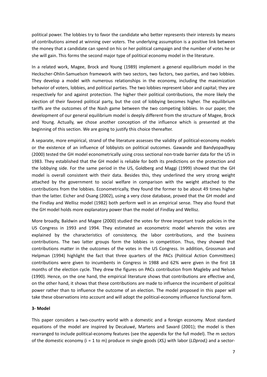political power. The lobbies try to favor the candidate who better represents their interests by means of contributions aimed at winning over voters. The underlying assumption is a positive link between the money that a candidate can spend on his or her political campaign and the number of votes he or she will gain. This forms the second major type of political economy model in the literature.

In a related work, Magee, Brock and Young (1989) implement a general equilibrium model in the Heckscher‐Ohlin‐Samuelson framework with two sectors, two factors, two parties, and two lobbies. They develop a model with numerous relationships in the economy, including the maximization behavior of voters, lobbies, and political parties. The two lobbies represent labor and capital; they are respectively for and against protection. The higher their political contributions, the more likely the election of their favored political party, but the cost of lobbying becomes higher. The equilibrium tariffs are the outcomes of the Nash game between the two competing lobbies. In our paper, the development of our general equilibrium model is deeply different from the structure of Magee, Brock and Young. Actually, we chose another conception of the influence which is presented at the beginning of this section. We are going to justify this choice thereafter.

A separate, more empirical, strand of the literature assesses the validity of political‐economy models or the existence of an influence of lobbyists on political outcomes. Gawande and Bandyopadhyay (2000) tested the GH model econometrically using cross sectional non‐trade barrier data for the US in 1983. They established that the GH model is reliable for both its predictions on the protection and the lobbying side. For the same period in the US, Goldberg and Maggi (1999) showed that the GH model is overall consistent with their data. Besides this, they underlined the very strong weight attached by the government to social welfare in comparison with the weight attached to the contributions from the lobbies. Econometrically, they found the former to be about 49 times higher than the latter. Eicher and Osang (2002), using a very close database, proved that the GH model and the Findlay and Wellisz model (1982) both perform well in an empirical sense. They also found that the GH model holds more explanatory power than the model of Findlay and Wellisz.

More broadly, Baldwin and Magee (2000) studied the votes for three important trade policies in the US Congress in 1993 and 1994. They estimated an econometric model wherein the votes are explained by the characteristics of consistency, the labor contributions, and the business contributions. The two latter groups form the lobbies in competition. Thus, they showed that contributions matter in the outcomes of the votes in the US Congress. In addition, Grossman and Helpman (1994) highlight the fact that three quarters of the PACs (Political Action Committees) contributions were given to incumbents in Congress in 1988 and 62% were given in the first 18 months of the election cycle. They drew the figures on PACs contribution from Magleby and Nelson (1990). Hence, on the one hand, the empirical literature shows that contributions are effective and, on the other hand, it shows that these contributions are made to influence the incumbent of political power rather than to influence the outcome of an election. The model proposed in this paper will take these observations into account and will adopt the political‐economy influence functional form.

#### **3‐ Model**

This paper considers a two-country world with a domestic and a foreign economy. Most standard equations of the model are inspired by Decaluwé, Martens and Savard (2001); the model is then rearranged to include political‐economy features (see the appendix for the full model). The m sectors of the domestic economy (i = 1 to m) produce m single goods (*XSi*) with labor (*LDprodi*) and a sector‐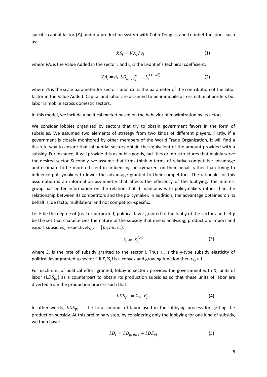specific capital factor ( $K_i$ ) under a production system with Cobb-Douglas and Leontief functions such as:

$$
XS_i = VA_i/v_i \tag{1}
$$

where *VAi* is the Value Added in the sector *i* and *vi* is the Leontief's technical coefficient.

$$
VA_i = A_i. \, LD_{prod_i}^{\alpha i} \quad . \, K_i^{(1-\alpha i)} \tag{2}
$$

where  $A_i$  is the scale parameter for sector *i* and  $\alpha i$  is the parameter of the contribution of the labor factor in the Value Added. Capital and labor are assumed to be immobile across national borders but labor is mobile across domestic sectors.

In this model, we include a political market based on the behavior of maximization by its actors.

We consider lobbies organized by sectors that try to obtain government favors in the form of subsidies. We assumed two elements of strategy from two kinds of different players. Firstly, if a government is closely monitored by other members of the World Trade Organization, it will find a discrete way to ensure that influential sectors obtain the equivalent of the amount provided with a subsidy. For instance, it will provide this as public goods, facilities or infrastructures that mainly serve the desired sector. Secondly, we assume that firms think in terms of relative competitive advantage and estimate to be more efficient in influencing policymakers on their behalf rather than trying to influence policymakers to lower the advantage granted to their competitors. The rationale for this assumption is an information asymmetry that affects the efficiency of the lobbying. The interest group has better information on the relation that it maintains with policymakers rather than the relationship between its competitors and the policymaker. In addition, the advantage obtained on its behalf is, de facto, multilateral and not competitor‐specific.

Let F be the degree of (real or purported) political favor granted to the lobby of the sector *i* and let *y* be the set that characterizes the nature of the subsidy that one is analyzing; production, import and export subsidies, respectively,  $y = \{pi, mi, xi\}$ :

$$
F_{y} = S_{y}^{\varepsilon_{Fy}} \tag{3}
$$

where *Sy* is the rate of subsidy granted to the sector i. Thus *εFy* is the y‐type subsidy elasticity of political favor granted to sector *i*. If *Fy(Sy)* is a convex and growing function then *εFy* > 1.

For each unit of political effort granted, lobby in sector  $i$  provides the government with  $X_1$  units of labor ( $LDS_{ni}$ ) as a counterpart to obtain its production subsidies so that these units of labor are diverted from the production process such that:

$$
LDS_{pi} = X_{1i} \cdot F_{pi} \tag{4}
$$

In other words,  $LDS_{ni}$  is the total amount of labor used in the lobbying process for getting the production subsidy. At this preliminary step, by considering only the lobbying for one kind of subsidy, we then have:

$$
LD_i = LD_{prod_i} + LDS_{pi} \tag{5}
$$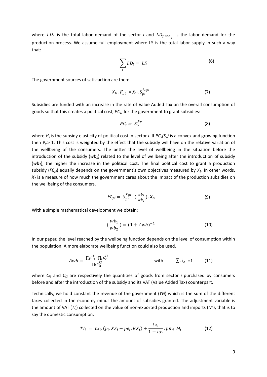where  $LD_i$  is the total labor demand of the sector *i* and  $LD_{prod_i}$  is the labor demand for the production process. We assume full employment where LS is the total labor supply in such a way that:

$$
\sum_{i} LD_i = LS \tag{6}
$$

The government sources of satisfaction are then:

$$
X_{1i} \cdot F_{pi} = X_{1i} \cdot S_{pi}^{\varepsilon_{Fpi}} \tag{7}
$$

Subsidies are funded with an increase in the rate of Value Added Tax on the overall consumption of goods so that this creates a political cost, *PCy*, for the government to grant subsidies:

$$
PC_y = S_y^{Py} \tag{8}
$$

where  $P_v$  is the subsidy elasticity of political cost in sector *i*. If  $PC_v(S_v)$  is a convex and growing function then  $P_y$  > 1. This cost is weighted by the effect that the subsidy will have on the relative variation of the wellbeing of the consumers. The better the level of wellbeing in the situation before the introduction of the subsidy (*wb1*) related to the level of wellbeing after the introduction of subsidy (*wb2*), the higher the increase in the political cost. The final political cost to grant a production subsidy  $(FC_{pi})$  equally depends on the government's own objectives measured by  $X_2$ . In other words,  $X_2$  is a measure of how much the government cares about the impact of the production subsidies on the wellbeing of the consumers.

$$
FC_{pi} = S_{pi}^{P_{pi}} \cdot (\frac{wb_1}{wb_2}) \cdot X_{2i}
$$
 (9)

With a simple mathematical development we obtain:

$$
\left(\frac{wb_1}{wb_2}\right) = (1 + \Delta w b)^{-1} \tag{10}
$$

In our paper, the level reached by the wellbeing function depends on the level of consumption within the population. A more elaborate wellbeing function could also be used.

$$
\Delta w b = \frac{\prod_i c_{i2}^{\zeta_i} - \prod_i c_{i1}^{\zeta_i}}{\prod_i c_{i1}^{\zeta_i}}
$$
 with  $\sum_i \zeta_i = 1$  (11)

where  $C_{i1}$  and  $C_{i2}$  are respectively the quantities of goods from sector *i* purchased by consumers before and after the introduction of the subsidy and its VAT (Value Added Tax) counterpart.

Technically, we hold constant the revenue of the government (*YG*) which is the sum of the different taxes collected in the economy minus the amount of subsidies granted. The adjustment variable is the amount of VAT (*TIi*) collected on the value of non‐exported production and imports (*Mi*), that is to say the domestic consumption.

$$
TI_{i} = tx_{i}.(p_{i}.XS_{i}-pe_{i}.EX_{i}) + \frac{tx_{i}}{1+tx_{i}}.pm_{i}.M_{i}
$$
 (12)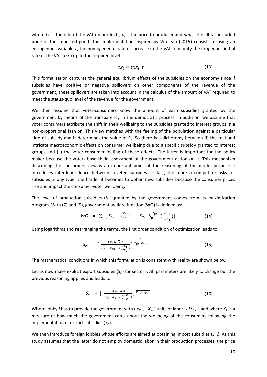where *tx<sub>i</sub>* is the rate of the VAT on products,  $p_i$  is the price to producer and  $p m_i$  is the all-tax included price of the imported good. The implementation inspired by Viroleau (2015) consists of using an endogenous variable *τ*, the homogeneous rate of increase in the VAT to modify the exogenous initial rate of the VAT (*txx<sub>i</sub>*) up to the required level.

$$
tx_i = txx_i.\tau \tag{13}
$$

This formalization captures the general equilibrium effects of the subsidies on the economy since if subsidies have positive or negative spillovers on other components of the revenue of the government, these spillovers are taken into account in the calculus of the amount of VAT required to meet the status‐quo level of the revenue for the government.

We then assume that voter-consumers know the amount of each subsidies granted by the government by means of the transparency in the democratic process. In addition, we assume that voter consumers attribute the shift in their wellbeing to the subsidies granted to interest groups in a non‐proportional fashion. This view matches with the feeling of the population against a particular kind of subsidy and it determines the value of  $P_v$ . So there is a dichotomy between (i) the real and intricate macroeconomic effects on consumer wellbeing due to a specific subsidy granted to interest groups and (ii) the voter‐consumer feeling of these effects. The latter is important for the policy maker because the voters base their assessment of the government action on it. This mechanism describing the consumers view is an important point of the reasoning of the model because it introduces interdependence between coveted subsides. In fact, the more a competitor asks for subsidies in any type, the harder it becomes to obtain new subsidies because the consumer prices rise and impact the consumer‐voter wellbeing.

The level of production subsidies  $(S_{pi})$  granted by the government comes from its maximization program. With (7) and (9), government welfare function (WG) is defined as:

$$
WG = \sum_{i} [X_{1i} \t S_{pi}^{\varepsilon_{Fpi}} - X_{2i} \t S_{pi}^{P_{pi}} \t ( \t \frac{wb_1}{wb_2} )]
$$
 (14)

Using logarithms and rearranging the terms, the first order condition of optimization leads to:

$$
S_{pi} = \left[\frac{\varepsilon_{Fpi} \cdot X_{1i}}{P_{pi} \cdot X_{2i} \cdot \left(\frac{wb_1}{wb_2}\right)}\right]^{\frac{1}{P_{pi} - \varepsilon_{Fpi}}}
$$
(15)

The mathematical conditions in which this formulation is consistent with reality are shown below.

Let us now make explicit export subsidies (*Sxi*) for sector *i*. All parameters are likely to change but the previous reasoning applies and leads to:

$$
S_{xi} = \left[\ \frac{\varepsilon_{Fxi} \cdot X_{3i}}{P_{xi} \cdot X_{4i} \cdot (\frac{wb_1}{wb_2})}\right] \frac{1}{P_{xi} - \varepsilon_{Fxi}} \tag{16}
$$

Where lobby *i* has to provide the government with ( $\varepsilon_{Fx}$ .  $X_{3i}$ ) units of labor ( $LDS_{xi}$ ) and where  $X_4$  is a measure of how much the government cares about the wellbeing of the consumers following the implementation of export subsidies (*Sxi*).

We then introduce foreign lobbies whose efforts are aimed at obtaining import subsidies (*Smi*). As this study assumes that the latter do not employ domestic labor in their production processes, the price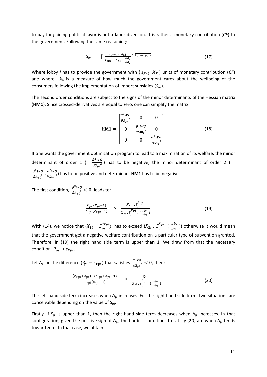to pay for gaining political favor is not a labor diversion. It is rather a monetary contribution (*CF*) to the government. Following the same reasoning:

$$
S_{mi} = \left[\ \frac{\varepsilon_{Fmi} \cdot X_{5i}}{P_{mi} \cdot X_{6i} \cdot \frac{wb_1}{wb_2}}\right] \frac{1}{P_{mi} - \varepsilon_{Fmi}}
$$
(17)

Where lobby *i* has to provide the government with ( $\varepsilon_{Fx}$ .  $X_{5i}$ ) units of monetary contribution (*CF*) and where  $X_6$  is a measure of how much the government cares about the wellbeing of the consumers following the implementation of import subsidies (*Smi*).

The second order conditions are subject to the signs of the minor determinants of the Hessian matrix (**HM1**). Since crossed‐derivatives are equal to zero, one can simplify the matrix:

$$
\mathbf{H}\mathbf{M}\mathbf{1} = \begin{bmatrix} \frac{\partial^2 W G}{\partial S_{pi}^2} & 0 & 0\\ 0 & \frac{\partial^2 W G}{\partial S m_i^2} & 0\\ 0 & 0 & \frac{\partial^2 W G}{\partial S x_i^2} \end{bmatrix}
$$
(18)

If one wants the government optimization program to lead to a maximization of its welfare, the minor determinant of order 1 (=  $\frac{\partial^2 W G}{\partial S_{pi}^2}$ ) has to be negative, the minor determinant of order 2 ( =  $\frac{\partial^2 W G}{\partial S_{pi}^2}$  .  $\frac{\partial^2 W G}{\partial S m_i^2}$  has to be positive and determinant **HM1** has to be negative.

The first condition,  $\frac{\partial^2 W G}{\partial s_{pi}^2} < 0$  leads to:

$$
\frac{P_{pi}(P_{pi}-1)}{\varepsilon_{Fpi}(\varepsilon_{Fpi}-1)} \quad > \quad \frac{X_{1i} \cdot S_{pi}^{\varepsilon_{Fpi}}}{X_{2i} \cdot S_{pi}^{Ppi} \cdot (\frac{wb_1}{wb_2})} \tag{19}
$$

With (14), we notice that  $(X_{1i}$  .  $S_{pi}^{\epsilon_{Fpi}})$  has to exceed  $(X_{2i}$ .  $S_{pi}^{Ppi}$ .  $(\frac{wb_1}{wb_2})$ ) otherwise it would mean that the government get a negative welfare contribution on a particular type of subvention granted. Therefore, in (19) the right hand side term is upper than 1. We draw from that the necessary condition  $P_{pi} > \varepsilon_{Fpi}$ .

Let  $\Delta_{pi}$  be the difference  $(P_{pi} - \varepsilon_{Fpi})$  that satisfies  $\frac{\partial^2 W G}{\partial S_{pi}^2} < 0$ , then:

$$
\frac{(\varepsilon_{\text{Fpi}} + \Delta_{\text{pi}}) \cdot (\varepsilon_{\text{Fpi}} + \Delta_{\text{pi}} - 1)}{\varepsilon_{\text{Fpi}}(\varepsilon_{\text{Fpi}} - 1)} \quad > \quad \frac{X_{1i}}{X_{2i} \cdot S_{\text{pi}}^{\Delta_{\text{pi}}} \cdot (\frac{wb_1}{wb_2})} \tag{20}
$$

The left hand side term increases when  $\Delta_{pi}$  increases. For the right hand side term, two situations are conceivable depending on the value of  $S_{pi}$ .

Firstly, if S<sub>pi</sub> is upper than 1, then the right hand side term decreases when  $\Delta_{pi}$  increases. In that configuration, given the positive sign of  $\Delta_{\text{p}i}$ , the hardest conditions to satisfy (20) are when  $\Delta_{\text{p}i}$  tends toward zero. In that case, we obtain: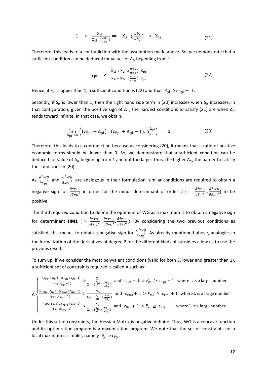$$
1 > \frac{X_{1i}}{X_{2i} \cdot (\frac{wb_1}{wb_2})} \Leftrightarrow X_{2i} \cdot (\frac{wb_1}{wb_2}) > X_{1i}
$$
 (21)

Therefore, this leads to a contradiction with the assumption made above. So, we demonstrate that a sufficient condition can be deduced for values of  $\Delta_{pi}$  beginning from 1:

$$
\varepsilon_{\text{Fpi}} \quad > \quad \frac{X_{1i} + X_{2i} \cdot (\frac{wb_1}{wb_2}) \cdot S_{\text{pi}}}{X_{1i} - X_{2i} \cdot (\frac{wb_1}{wb_2}) \cdot S_{\text{pi}}}
$$
\n(22)

Hence, if S<sub>pi</sub> is upper than 1, a sufficient condition is (22) and that  $P_{pi} \ge \varepsilon_{Fpi} + 1$ .

Secondly, if S<sub>pi</sub> is lower than 1, then the right hand side term in (20) increases when  $\Delta_{pi}$  increases. In that configuration, given the positive sign of  $\Delta_{pi}$ , the hardest conditions to satisfy (21) are when  $\Delta_{pi}$ tends toward infinite. In that case, we obtain:

$$
\lim_{\Delta_{\rm pi}\to\infty} \left( \left( \varepsilon_{\rm Fpi} + \Delta_{\rm pi} \right) . \left( \varepsilon_{\rm Fpi} + \Delta_{\rm pi} - 1 \right) . \, S_{\rm pi}^{\Delta_{\rm pi}} \right) = 0 \tag{23}
$$

Therefore, this leads to a contradiction because as considering (20), it means that a ratio of positive economic terms should be lower than 0. So, we demonstrate that a sufficient condition can be deduced for value of  $\Delta_{pi}$  beginning from 1 and not too large. Thus, the higher  $\Delta_{pi}$ , the harder to satisfy the conditions in (20).

As  $\frac{\partial^2 W G}{\partial S_{pi}^2}$  and  $\frac{\partial^2 W G}{\partial S_{mi}^2}$  are analogous in their formulation, similar conditions are required to obtain a negative sign for  $\frac{\partial^2 WG}{\partial Sm_i^2}$  in order for the minor determinant of order 2 ( =  $\frac{\partial^2 WG}{\partial Sp_i^2} \cdot \frac{\partial^2 WG}{\partial Sm_i^2}$ ) to be positive.

The third required condition to define the optimum of WG as a maximum is to obtain a negative sign for determinant **HM1**  $\left( = \frac{\partial^2 W G}{\partial S_{pi}^2} \cdot \frac{\partial^2 W G}{\partial S_{m_i}^2} \cdot \frac{\partial^2 W G}{\partial S_{\mathcal{X}_i}^2} \right)$  $\frac{\partial W}{\partial S x_i^2}$ ). By considering the two previous conditions as satisfied, this means to obtain a negative sign for  $\frac{\partial^2 W G}{\partial S x_i^2}$ . As already mentioned above, analogies in the formalization of the derivatives of degree 2 for the different kinds of subsidies allow us to use the previous results.

To sum up, if we consider the most polyvalent conditions (valid for both  $S_y$  lower and greater than 1), a sufficient set of constraints required is called A such as:

$$
A \begin{cases} \frac{(\epsilon_{Fpi} + \Delta_{pi}) \cdot (\epsilon_{Fpi} + \Delta_{pi} - 1)}{\epsilon_{Fpi}(\epsilon_{Fpi} - 1)} > \frac{x_{1i}}{x_{2i} \cdot S_{pi}^{\Delta_{pi}} \cdot (\frac{wb_{1}}{wb_{2}})} \text{ and } \epsilon_{Fpi} + L > P_{pi} \ge \epsilon_{Fpi} + 1 \text{ where L is a large number} \\ \frac{(\epsilon_{Fmi} + \Delta_{mi}) \cdot (\epsilon_{Fmi} + \Delta_{mi} - 1)}{\epsilon_{Fmi}(\epsilon_{Fmi} - 1)} > \frac{x_{5i}}{x_{6i} \cdot S_{mi}^{\Delta_{mi}} \cdot (\frac{wb_{1}}{wb_{2}})} \text{ and } \epsilon_{Fmi} + L > P_{mi} \ge \epsilon_{Fmi} + 1 \text{ where L is a large number} \\ \frac{(\epsilon_{Fxi} + \Delta_{xi}) \cdot (\epsilon_{Fxi} + \Delta_{xi} - 1)}{\epsilon_{Fxi}(\epsilon_{Fxi} - 1)} > \frac{x_{3i}}{x_{4i} \cdot S_{xi}^{\Delta_{xi}} \cdot (\frac{wb_{1}}{wb_{2}})} \text{ and } \epsilon_{Fxi} + L > P_{xi} \ge \epsilon_{Fxi} + 1 \text{ where L is a large number} \end{cases}
$$

Under this set of constraints, the Hessian Matrix is negative definite. Thus, WG is a concave function and its optimization program is a maximization program. We note that the set of constraints for a local maximum is simpler, namely  $P_V > \varepsilon_{FV}$ .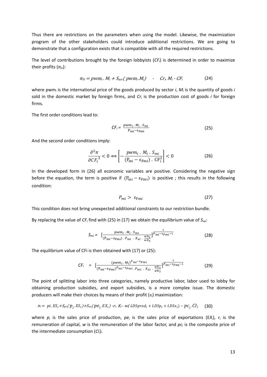Thus there are restrictions on the parameters when using the model. Likewise, the maximization program of the other stakeholders could introduce additional restrictions. We are going to demonstrate that a configuration exists that is compatible with all the required restrictions.

The level of contributions brought by the foreign lobbyists (*CFi*) is determined in order to maximize their profits ( $π<sub>Fi</sub>$ ):

$$
\pi_{Fi} = \text{pwm}_i. \ N_i + S_{mi}(\text{pwm}_i. M_i) \quad \text{-} \quad \text{Cr}_i. M_i - \text{CF}_i \tag{24}
$$

where pwm<sub>i</sub> is the international price of the goods produced by sector *i*,  $M_i$  is the quantity of goods *i* sold in the domestic market by foreign firms, and *Cri* is the production cost of goods *i* for foreign firms.

The first order conditions lead to:

$$
CF_i = \frac{pwm_i \cdot M_i \cdot S_{mi}}{P_{mi} - \varepsilon_{Fmi}}
$$
 (25)

And the second order conditions imply:

$$
\frac{\partial^2 \pi}{\partial C F_i^2} < 0 \Leftrightarrow \left[ -\frac{p w m_i \cdot M_i \cdot S_{mi}}{(P_{mi} - \varepsilon_{Fmi}) \cdot C F_i^2} \right] < 0 \tag{26}
$$

In the developed form in (26) all economic variables are positive. Considering the negative sign before the equation, the term is positive if  $(P_{mi} - \varepsilon_{Fmi})$  is positive; this results in the following condition:

$$
P_{mi} > \varepsilon_{Fmi} \tag{27}
$$

This condition does not bring unexpected additional constraints to our restriction bundle.

By replacing the value of *CFi* find with (25) in (17) we obtain the equilibrium value of *Smi*:

$$
S_{mi} = \left[ \frac{p w m_i \cdot M_i \cdot S_{mi}}{(P_{mi} - \varepsilon_{Fmi}) \cdot P_{mi} \cdot X_{6i} \cdot \frac{w b_1}{w b_2}} \right]^{1} \frac{1}{P_{mi} - \varepsilon_{Fmi} - 1}
$$
(28)

The equilibrium value of CFi is then obtained with (17) or (25):

$$
CF_{i} = [\frac{(pwm_{i} \cdot M_{i})^{Pmi-\epsilon_{Fmi}}}{(P_{mi}-\epsilon_{Fmi})^{Pmi-\epsilon_{Fmi}} \cdot P_{mi} \cdot X_{6i} \cdot \frac{wb_{1}}{wb_{2}}}]^{\frac{1}{Pmi-\epsilon_{Fmi}-1}}
$$
(29)

The point of splitting labor into three categories, namely productive labor, labor used to lobby for obtaining production subsidies, and export subsidies, is a more complex issue. The domestic producers will make their choices by means of their profit (*π<sup>i</sup>* ) maximization:

$$
\pi_i = pi. X S_i + S_{pi} (p_i. X S_i) + S_{xi} (pe_i. EX_i) - r_i. K_i - w_l (LDSprod_i + LDSp_i + LDSx_i) - pc_i. Cl_i
$$
 (30)

where  $p_i$  is the sales price of production,  $pe_i$  is the sales price of exportations ( $EX_i$ ),  $r_i$  is the remuneration of capital, *w* is the remuneration of the labor factor, and *pc<sub>i</sub>* is the composite price of the intermediate consumption (*CIi*).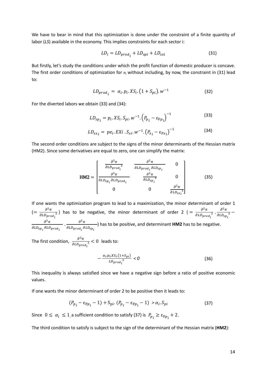We have to bear in mind that this optimization is done under the constraint of a finite quantity of labor (*LS*) available in the economy. This implies constraints for each sector i:

$$
LD_i = LD_{prod_i} + LD_{spi} + LD_{sxi}
$$
\n(31)

But firstly, let's study the conditions under which the profit function of domestic producer is concave. The first order conditions of optimization for *π<sup>i</sup>* without including, by now, the constraint in (31) lead to:

$$
LD_{prod_i} = \alpha_i. p_i. X S_i. (1 + S_{pi}). w^{-1}
$$
 (32)

For the diverted labors we obtain (33) and (34):

$$
LD_{sp_i} = p_i. X S_i. S_{pi}. w^{-1}. (P_{p_i} - \varepsilon_{Fp_i})^{-1}
$$
 (33)

$$
LD_{sx_i} = pe_i.EXi.S_{xi}.w^{-1}.(P_{x_i} - \varepsilon_{Fx_i})^{-1}
$$
 (34)

The second order conditions are subject to the signs of the minor determinants of the Hessian matrix (HM2). Since some derivatives are equal to zero, one can simplify the matrix:

$$
\text{HM2} = \begin{bmatrix} \frac{\partial^2 \pi}{\partial L D_{prod_i}^2} & \frac{\partial^2 \pi}{\partial L D_{prod_i} \partial L D_{sp_i}} & 0\\ \frac{\partial^2 \pi}{\partial L D_{sp_i} \partial L D_{prod_i}} & \frac{\partial^2 \pi}{\partial L D_{sp_i}^2} & 0\\ 0 & 0 & \frac{\partial^2 \pi}{\partial L D_{sx_i}^2} \end{bmatrix}
$$
(35)

If one wants the optimization program to lead to a maximization, the minor determinant of order 1  $\left(=\frac{\partial^2 \pi}{\partial \Omega}\right)$  $\partial L D_{prod}$  $\frac{1}{2}$ ) has to be negative, the minor determinant of order 2 ( $=\frac{\partial^2 \pi}{\partial L}$  $\partial L D_{prod}$  $\frac{\partial^2 \pi}{\partial \rho}$  $\partial LD_{sp}$  $\overline{2}$  –  $\partial^2 \pi$  $\partial L D_{sp}$   $\partial L D_{prod}$  $\frac{\partial^2 \pi}{\partial x^2}$  $\partial L D_{prod_{\hat{t}}} \partial L D_{sp_{\hat{t}}}$ ) has to be positive, and determinant **HM2** has to be negative.

The first condition,  $\frac{\partial^2 \pi}{\partial I_D}$  $\partial L D_{prod}$  $\frac{1}{2}$  < 0 leads to:

$$
-\frac{\alpha_i p_i X S_i (1 + S_{pi})}{LD_{prod_i}^2} < 0 \tag{36}
$$

This inequality is always satisfied since we have a negative sign before a ratio of positive economic values.

If one wants the minor determinant of order 2 to be positive then it leads to:

$$
(P_{p_i} - \varepsilon_{Fp_i} - 1) + S_{\text{pi}} \cdot (P_{p_i} - \varepsilon_{Fp_i} - 1) > \alpha_i \cdot S_{pi}
$$
 (37)

Since  $0 \leq \alpha_i \leq 1$ , a sufficient condition to satisfy (37) is  $P_{p_i} \geq \varepsilon_{F p_i} + 2$ .

The third condition to satisfy is subject to the sign of the determinant of the Hessian matrix (**HM2**):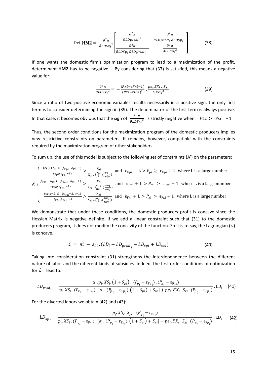$$
\text{Det HM2} = \frac{\partial^2 \pi}{\partial LDSx_i^2} \left[ \frac{\frac{\partial^2 \pi}{\partial LDProd_i^2}}{\frac{\partial^2 \pi}{\partial LDProd_i^2}} - \frac{\frac{\partial^2 \pi}{\partial LDProd_i \partial LDSp_i}}{\frac{\partial^2 \pi}{\partial LDSp_i^2}} \right]
$$
(38)

If one wants the domestic firm's optimization program to lead to a maximization of the profit, determinant HM2 has to be negative. By considering that (37) is satisfied, this means a negative value for:

$$
\frac{\partial^2 \pi}{\partial L D S x_i^2} = -\frac{(P x i - \varepsilon F x i - 1)}{(P x i - \varepsilon F x i)^2} \cdot \frac{p e_i E X i \cdot S_{x i}}{L D S x_i^2}
$$
(39)

Since a ratio of two positive economic variables results necessarily in a positive sign, the only first term is to consider determining the sign in (39). The denominator of the first term is always positive. In that case, it becomes obvious that the sign of  $\frac{\partial^2 \pi}{\partial L D S x_i^2}$  is strictly negative when  $Pxi > \varepsilon Fxi + 1$ .

Thus, the second order conditions for the maximization program of the domestic producers implies new restrictive constraints on parameters. It remains, however, compatible with the constraints required by the maximization program of other stakeholders.

To sum up, the use of this model is subject to the following set of constraints (A') on the parameters:

$$
A' \sqrt{\frac{\frac{(\epsilon_{Fpi} + \Delta_{pi}) \cdot (\epsilon_{Fpi} + \Delta_{pi} - 1)}{\epsilon_{Fpi}(\epsilon_{Fpi} - 1)} > \frac{X_{1i}}{X_{2i} \cdot S_{pi}^{\Delta_{pi}} \cdot (\frac{wb_1}{wb_2})}}{\frac{X_{5i}}{\epsilon_{Fmi}(\epsilon_{Fmi} - 1)} > \frac{X_{5i}}{X_{6i} \cdot S_{mi}^{\Delta_{pi}} \cdot (\frac{wb_1}{wb_2})}} \text{ and } \epsilon_{Fmi} + L > P_{mi} \ge \epsilon_{Fmi} + 1 \text{ where L is a large number}
$$
\n
$$
A' \sqrt{\frac{(\epsilon_{Fmi} + \Delta_{mi}) \cdot (\epsilon_{Fmi} + \Delta_{mi} - 1)}{\epsilon_{Fmi}(\epsilon_{Fmi} - 1)} > \frac{X_{5i}}{X_{6i} \cdot S_{mi}^{\Delta_{mi}} \cdot (\frac{wb_1}{wb_2})}} \text{ and } \epsilon_{Fmi} + L > P_{mi} \ge \epsilon_{Fmi} + 1 \text{ where L is a large number}
$$
\n
$$
\frac{(\epsilon_{Fxi} + \Delta_{xi}) \cdot (\epsilon_{Fxi} + \Delta_{xi} - 1)}{\epsilon_{Fxi}(\epsilon_{Fxi} - 1)} > \frac{X_{3i}}{X_{4i} \cdot S_{xi}^{\Delta_{xi}} \cdot (\frac{wb_1}{wb_2})} \text{ and } \epsilon_{Fxi} + L > P_{xi} > \epsilon_{Fxi} + 1 \text{ where L is a large number}
$$

We demonstrate that under these conditions, the domestic producers profit is concave since the Hessian Matrix is negative definite. If we add a linear constraint such that (31) to the domestic producers program, it does not modify the concavity of the function. So it is to say, the Lagrangian  $(L)$ is concave.

$$
L_i = \pi i - \lambda_{Li} \cdot (LD_i - LD_{prod_i} + LD_{spl} + LD_{sxi}) \tag{40}
$$

Taking into consideration constraint (31) strengthens the interdependence between the different nature of labor and the different kinds of subsidies. Indeed, the first order conditions of optimization for  $\mathcal{L}_i$  lead to:

$$
LD_{prod_{i}} = \frac{\alpha_{i} \cdot p_{i} \cdot XS_{i} \cdot (1 + S_{pi}) \cdot (P_{p_{i}} - \varepsilon_{Fp_{i}}) \cdot (P_{x_{i}} - \varepsilon_{Fx_{i}})}{p_{i} \cdot XS_{i} \cdot (P_{x_{i}} - \varepsilon_{Fx_{i}}) \cdot [\alpha_{i} \cdot (P_{p_{i}} - \varepsilon_{Fp_{i}}) \cdot (1 + S_{pi}) + S_{pi}] + pe_{i} \cdot EX_{i} \cdot S_{xi} \cdot (P_{p_{i}} - \varepsilon_{Fp_{i}})} \cdot LD_{i}
$$
(41)

For the diverted labors we obtain (42) and (43):

$$
LD_{sp_i} = \frac{p_i \cdot XS_i \cdot S_{pi} \cdot (P_{x_i} - \varepsilon_{Fx_i})}{p_i \cdot XS_i \cdot (P_{x_i} - \varepsilon_{Fx_i}) \cdot [\alpha_i \cdot (P_{p_i} - \varepsilon_{Fp_i}) \cdot (1 + S_{pi}) + S_{pi}] + pe_i \cdot EX_i \cdot S_{xi} \cdot (P_{p_i} - \varepsilon_{Fp_i})} \cdot LD_i
$$
(42)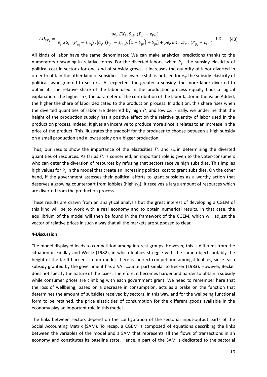$$
LD_{sx_{i}} = \frac{pe_{i} \cdot EX_{i} \cdot S_{xi} \cdot (P_{p_{i}} - \varepsilon_{Fp_{i}})}{p_{i} \cdot XS_{i} \cdot (P_{x_{i}} - \varepsilon_{Fx_{i}}) \cdot [\alpha_{i} \cdot (P_{p_{i}} - \varepsilon_{Fp_{i}}) \cdot (1 + S_{pi}) + S_{pi}] + pe_{i} \cdot EX_{i} \cdot S_{xi} \cdot (P_{p_{i}} - \varepsilon_{Fp_{i}})} \cdot LD_{i}
$$
(43)

All kinds of labor have the same denominator. We can make analytical predictions thanks to the numerators reasoning in relative terms. For the diverted labors, when  $P_y$ , the subsidy elasticity of political cost in sector *i* for one kind of subsidy grows, it increases the quantity of labor diverted in order to obtain the other kind of subsidies. The inverse shift is noticed for *εFy*,the subsidy elasticity of political favor granted to sector *i*. As expected, the greater a subsidy, the more labor diverted to obtain it. The relative share of the labor used in the production process equally finds a logical explanation. The higher  $\alpha i$ , the parameter of the contribution of the labor factor in the Value Added, the higher the share of labor dedicated to the production process. In addition, this share rises when the diverted quantities of labor are deterred by high  $P_\gamma$  and low  $\varepsilon_{F\gamma}$ . Finally, we underline that the height of the production subsidy has a positive effect on the relative quantity of labor used in the production process. Indeed, it gives an incentive to produce more since it relates to an increase in the price of the product. This illustrates the tradeoff for the producer to choose between a high subsidy on a small production and a low subsidy on a bigger production.

Thus, our results show the importance of the elasticities  $P_y$  and  $\varepsilon_{F_y}$  in determining the diverted quantities of resources. As far as *P<sup>y</sup>* is concerned, an important role is given to the voter‐consumers who can deter the diversion of resources by refusing that sectors receive high subsidies. This implies high values for  $P_y$  in the model that create an increasing political cost to grant subsidies. On the other hand, if the government assesses their political efforts to grant subsidies as a worthy action that deserves a growing counterpart from lobbies (high *εFy*), it receives a large amount of resources which are diverted from the production process.

These results are drawn from an analytical analysis but the great interest of developing a CGEM of this kind will be to work with a real economy and to obtain numerical results. In that case, the equilibrium of the model will then be found in the framework of the CGEM, which will adjust the vector of relative prices in such a way that all the markets are supposed to clear.

#### **4‐Discussion**

The model displayed leads to competition among interest groups. However, this is different from the situation in Findlay and Welitz (1982), in which lobbies struggle with the same object, notably the height of the tariff barriers. In our model, there is indirect competition amongst lobbies, since each subsidy granted by the government has a VAT counterpart similar to Becker (1983). However, Becker does not specify the nature of the taxes. Therefore, it becomes harder and harder to obtain a subsidy while consumer prices are climbing with each government grant. We need to remember here that the loss of wellbeing, based on a decrease in consumption, acts as a brake on the function that determines the amount of subsidies received by sectors. In this way, and for the wellbeing functional form to be retained, the price elasticities of consumption for the different goods available in the economy play an important role in this model.

The links between sectors depend on the configuration of the sectorial input‐output parts of the Social Accounting Matrix (SAM). To recap, a CGEM is composed of equations describing the links between the variables of the model and a SAM that represents all the flows of transactions in an economy and constitutes its baseline state. Hence, a part of the SAM is dedicated to the sectorial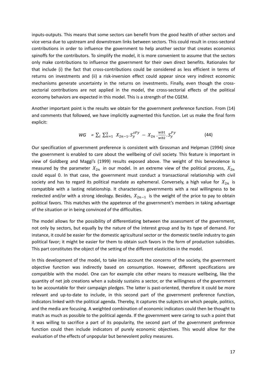inputs‐outputs. This means that some sectors can benefit from the good health of other sectors and vice versa due to upstream and downstream links between sectors. This could result in cross‐sectoral contributions in order to influence the government to help another sector that creates economics spinoffs for the contributors. To simplify the model, it is more convenient to assume that the sectors only make contributions to influence the government for their own direct benefits. Rationales for that include (i) the fact that cross‐contributions could be considered as less efficient in terms of returns on investments and (ii) a risk-inversion effect could appear since very indirect economic mechanisms generate uncertainty in the returns on investments. Finally, even though the crosssectorial contributions are not applied in the model, the cross-sectorial effects of the political economy behaviors are expected in this model. This is a strength of the CGEM.

Another important point is the results we obtain for the government preference function. From (14) and comments that followed, we have implicitly augmented this function. Let us make the final form explicit:

$$
WG = \sum_{i} \sum_{n=1}^{3} X_{2n-1} S_{y}^{cFy} - X_{2n} \cdot \frac{wb1}{wb2} S_{y}^{Py}
$$
(44)

Our specification of government preference is consistent with Grossman and Helpman (1994) since the government is enabled to care about the wellbeing of civil society. This feature is important in view of Goldberg and Maggi's (1999) results exposed above. The weight of this benevolence is measured by the parameter  $X_{2n}$  in our model. In an extreme view of the political process,  $X_{2n}$ could equal 0. In that case, the government must conduct a transactional relationship with civil society and has to regard its political mandate as ephemeral. Conversely, a high value for  $X_{2n}$  is compatible with a lasting relationship. It characterizes governments with a real willingness to be reelected and/or with a strong ideology. Besides,  $X_{2n-1}$  is the weight of the price to pay to obtain political favors. This matches with the appetence of the government's members in taking advantage of the situation or in being convinced of the difficulties.

The model allows for the possibility of differentiating between the assessment of the government, not only by sectors, but equally by the nature of the interest group and by its type of demand. For instance, it could be easier for the domestic agricultural sector or the domestic textile industry to gain political favor; it might be easier for them to obtain such favors in the form of production subsidies. This part constitutes the object of the setting of the different elasticities in the model.

In this development of the model, to take into account the concerns of the society, the government objective function was indirectly based on consumption. However, different specifications are compatible with the model. One can for example cite other means to measure wellbeing, like the quantity of net job creations when a subsidy sustains a sector, or the willingness of the government to be accountable for their campaign pledges. The latter is past-oriented, therefore it could be more relevant and up-to-date to include, in this second part of the government preference function, indicators linked with the political agenda. Thereby, it captures the subjects on which people, politics, and the media are focusing. A weighted combination of economic indicators could then be thought to match as much as possible to the political agenda. If the government were caring to such a point that it was willing to sacrifice a part of its popularity, the second part of the government preference function could then include indicators of purely economic objectives. This would allow for the evaluation of the effects of unpopular but benevolent policy measures.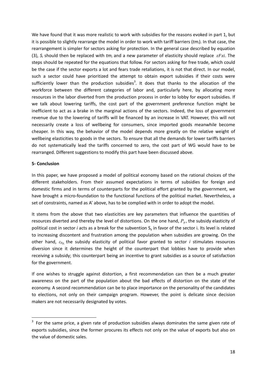We have found that it was more realistic to work with subsidies for the reasons evoked in part 1, but it is possible to slightly rearrange the model in order to work with tariff barriers (*tmi*). In that case, the rearrangement is simpler for sectors asking for protection. In the general case described by equation (3),  $S_i$  should then be replaced with  $tm_i$  and a new parameter of elasticity should replace  $\epsilon Fxi$ . The steps should be repeated for the equations that follow. For sectors asking for free trade, which could be the case if the sector exports a lot and fears trade retaliations, it is not that direct. In our model, such a sector could have prioritized the attempt to obtain export subsidies if their costs were sufficiently lower than the production subsidies<sup>3</sup>. It does that thanks to the allocation of the workforce between the different categories of labor and, particularly here, by allocating more resources in the labor diverted from the production process in order to lobby for export subsidies. If we talk about lowering tariffs, the cost part of the government preference function might be inefficient to act as a brake in the marginal actions of the sectors. Indeed, the loss of government revenue due to the lowering of tariffs will be financed by an increase in VAT. However, this will not necessarily create a loss of wellbeing for consumers, since imported goods meanwhile become cheaper. In this way, the behavior of the model depends more greatly on the relative weight of wellbeing elasticities to goods in the sectors. To ensure that all the demands for lower tariffs barriers do not systematically lead the tariffs concerned to zero, the cost part of WG would have to be rearranged. Different suggestions to modify this part have been discussed above.

#### **5‐ Conclusion**

In this paper, we have proposed a model of political economy based on the rational choices of the different stakeholders. From their assumed expectations in terms of subsidies for foreign and domestic firms and in terms of counterparts for the political effort granted by the government, we have brought a micro-foundation to the functional functions of the political market. Nevertheless, a set of constraints, named as A' above, has to be complied with in order to adopt the model.

It stems from the above that two elasticities are key parameters that influence the quantities of resources diverted and thereby the level of distortions. On the one hand, *P<sup>y</sup>* , the subsidy elasticity of political cost in sector *i* acts as a break for the subvention Sy in favor of the sector i. Its level is related to increasing discontent and frustration among the population when subsidies are growing. On the other hand, *εFy*, the subsidy elasticity of political favor granted to sector *i* stimulates resources diversion since it determines the height of the counterpart that lobbies have to provide when receiving a subsidy; this counterpart being an incentive to grant subsidies as a source of satisfaction for the government.

If one wishes to struggle against distortion, a first recommendation can then be a much greater awareness on the part of the population about the bad effects of distortion on the state of the economy. A second recommendation can be to place importance on the personality of the candidates to elections, not only on their campaign program. However, the point is delicate since decision makers are not necessarily designated by votes.

 $3$  For the same price, a given rate of production subsidies always dominates the same given rate of exports subsidies, since the former procures its effects not only on the value of exports but also on the value of domestic sales.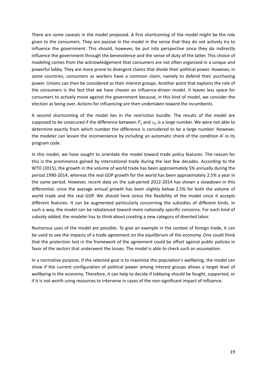There are some caveats in the model proposed. A first shortcoming of the model might be the role given to the consumers. They are passive in the model in the sense that they do not actively try to influence the government. This should, however, be put into perspective since they do indirectly influence the government through the benevolence and the sense of duty of the latter. This choice of modeling comes from the acknowledgement that consumers are not often organized in a unique and powerful lobby. They are more prone to divergent claims that divide their political power. However, in some countries, consumers as workers have a common claim, namely to defend their purchasing power. Unions can then be considered as their interest groups. Another point that explains the role of the consumers is the fact that we have chosen an influence-driven model. It leaves less space for consumers to actively move against the government because, in this kind of model, we consider the election as being over. Actions for influencing are then undertaken toward the incumbents.

A second shortcoming of the model lies in the restriction bundle. The results of the model are supposed to be unsecured if the difference between *P<sup>y</sup>* and *εFy* is a large number. We were not able to determine exactly from which number the difference is considered to be a large number. However, the modeler can lessen the inconvenience by including an automatic check of the condition A' in its program code.

In this model, we have sought to orientate the model toward trade policy features. The reason for this is the prominence gained by international trade during the last few decades. According to the WTO (2015), the growth in the volume of world trade has been approximately 5% annually during the period 1990‐2014, whereas the real GDP growth for the world has been approximately 2.5% a year in the same period. However, recent data on the sub-period 2012-2014 has shown a slowdown in this differential, since the average annual growth has been slightly below 2.5% for both the volume of world trade and the real GDP. We should here stress the flexibility of the model since it accepts different features. It can be augmented particularly concerning the subsidies of different kinds. In such a way, the model can be rebalanced toward more nationally specific concerns. For each kind of subsidy added, the modeler has to think about creating a new category of diverted labor.

Numerous uses of the model are possible. To give an example in the context of foreign trade, it can be used to see the impacts of a trade agreement on the equilibrium of the economy. One could think that the protection lost in the framework of the agreement could be offset against public policies in favor of the sectors that underwent the losses. The model is able to check such an assumption.

In a normative purpose, if the selected goal is to maximize the population's wellbeing, the model can show if the current configuration of political power among interest groups allows a target level of wellbeing in the economy. Therefore, it can help to decide if lobbying should be fought, supported, or if it is not worth using resources to intervene in cases of the non‐significant impact of influence.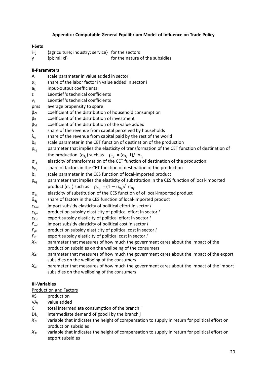## **Appendix : Computable General Equilibrium Model of Influence on Trade Policy**

### **I‐Sets**

- i=j {agriculture; industry; service} for the sectors
- y {pi; mi; xi} for the nature of the subsidies

## **II‐Parameters**

- $A_i$  scale parameter in value added in sector i
- $\alpha_i$  share of the labor factor in value added in sector i
- $a_{i,j}$  input-output coefficients
- z<sub>i</sub> Leontief's technical coefficients
- $v_i$  Leontief 's technical coefficients
- pms average propensity to spare
- $\beta_{\text{Ci}}$  coefficient of the distribution of household consumption
- $\beta_{ii}$  coefficient of the distribution of investment
- $\beta_{Vi}$  coefficient of the distribution of the value added
- $\lambda$  share of the revenue from capital perceived by households
- $\lambda_w$  share of the revenue from capital paid by the rest of the world
- $b_{ti}$  scale parameter in the CET function of destination of the production
- $\rho_{t_i}$  parameter that implies the elasticity of transformation of the CET function of destination of

the production 
$$
(\sigma_{t_i})
$$
 such as  $\rho_{t_i} = (\sigma_{t_i} - 1)/\sigma_{t_i}$ 

- $\sigma_{t_i}$  elasticity of transformation of the CET function of destination of the production
- $\delta_{t_i}$  share of factors in the CET function of destination of the production
- $b_{si}$  scale parameter in the CES function of local-imported product
- $\rho_{s_i}$  parameter that implies the elasticity of substitution in the CES function of local-imported

$$
\text{product } (\sigma_{s_i}) \text{ such as } \rho_{s_i} = (1 - \sigma_{s_i}) / \sigma_{s_i}
$$

- $\sigma_{s_i}$  elasticity of substitution of the CES function of of local-imported product
- $\delta_{s_i}$  share of factors in the CES function of local-imported product
- *εFmi* import subsidy elasticity of political effort in sector *i*
- *εFpi* production subsidy elasticity of political effort in sector *i*
- *εFxi* export subsidy elasticity of political effort in sector *i*
- *Pmi* import subsidy elasticity of political cost in sector *i*
- *Ppi* production subsidy elasticity of political cost in sector *i*
- *Pxi* export subsidy elasticity of political cost in sector *i*
- *X2i*  parameter that measures of how much the government cares about the impact of the production subsidies on the wellbeing of the consumers
- *X<sub>4i</sub>* parameter that measures of how much the government cares about the impact of the export subsidies on the wellbeing of the consumers
- $X_{6i}$  parameter that measures of how much the government cares about the impact of the import subsidies on the wellbeing of the consumers

# **III‐Variables**

#### Production and Factors

- $XS_i$  production
- VAi value added
- $Cl<sub>i</sub>$  total intermediate consumption of the branch i
- $Dl_{ii}$  intermediate demand of good i by the branch j
- $X_{1i}$  variable that indicates the height of compensation to supply in return for political effort on production subsidies
- *X3i* variable that indicates the height of compensation to supply in return for political effort on export subsidies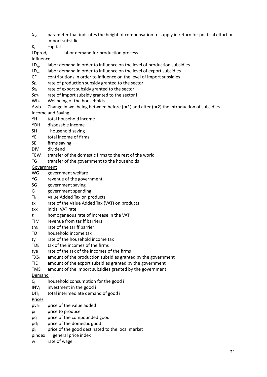- *X5i* parameter that indicates the height of compensation to supply in return for political effort on import subsidies
- Ki capital
- LDprodi labor demand for production process

Influence

- $LD<sub>sol</sub>$  labor demand in order to influence on the level of production subsidies
- $LD_{sxi}$  labor demand in order to influence on the level of export subsidies
- $CF_i$  contributions in order to influence on the level of import subsidies
- *Sp<sub>i</sub>* rate of production subsidy granted to the sector i
- *Sx<sub>i</sub>* rate of export subsidy granted to the sector i
- *Smi* rate of import subsidy granted to the sector i
- $Wb_t$  Wellbeing of the households
- $\Delta$ wb Change in wellbeing between before (t=1) and after (t=2) the introduction of subsidies
- Income and Saving
- YH total household income
- YDH disposable income
- SH household saving
- YE total income of firms
- SE firms saving
- DIV dividend
- TEW transfer of the domestic firms to the rest of the world
- TG transfer of the government to the households

Government

- WG government welfare
- YG revenue of the government
- SG government saving
- G government spending
- TIi Value Added Tax on products
- txi rate of the Value Added Tax (VAT) on products
- txxi initial VAT rate
- τ homogeneous rate of increase in the VAT
- TIMi revenue from tariff barriers
- tmi rate of the tariff barrier
- TD household income tax
- ty rate of the household income tax
- TDE tax of the incomes of the firms
- tye rate of the tax of the incomes of the firms
- $TXS_i$  amount of the production subsidies granted by the government
- $TIE_i$  amount of the export subsidies granted by the government
- TMS amount of the import subsidies granted by the government

Demand

- $C_i$  household consumption for the good i
- $INV<sub>i</sub>$  investment in the good i
- $DIT<sub>i</sub>$  total intermediate demand of good i

Prices

- $pva<sub>i</sub>$  price of the value added
- pi price to producer
- pc<sub>i</sub> price of the compounded good
- $pd<sub>i</sub>$  price of the domestic good
- pl<sub>i</sub> price of the good destinated to the local market
- pindex general price index
- w rate of wage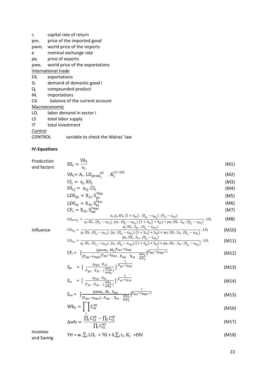- $r_i$  capital rate of return
- pm<sub>i</sub> price of the imported good
- pwmi world price of the imports
- e nominal exchange rate
- pei price of exports
- $pwe_i$  world price of the exportations

# International trade

- $EX_i$  exportations
- D<sub>i</sub> demand of domestic good i
- Qi compounded product
- Mi importations
- CA balance of the current account

#### Macroeconomic

- $LD_i$  labor demand in sector i
- LS total labor supply
- IT total investment

### Control

CONTROL variable to check the Walras' law

### **IV‐Equations**

| Production  | $XS_i = \frac{VA_i}{V_i}$                                                                                                                                                                                                                                                                                                                                                                                                                                                                        | (M1)  |
|-------------|--------------------------------------------------------------------------------------------------------------------------------------------------------------------------------------------------------------------------------------------------------------------------------------------------------------------------------------------------------------------------------------------------------------------------------------------------------------------------------------------------|-------|
| and factors |                                                                                                                                                                                                                                                                                                                                                                                                                                                                                                  |       |
|             | $VA_i = A_i$ . $LD_{prod_i}^{\alpha i}$ . $K_i^{(1-\alpha i)}$                                                                                                                                                                                                                                                                                                                                                                                                                                   | (M2)  |
|             | $CI_i = z_i$ . XS <sub>i</sub>                                                                                                                                                                                                                                                                                                                                                                                                                                                                   | (M3)  |
|             | $DI_{i,j} = a_{i,j}.CI_{i}$                                                                                                                                                                                                                                                                                                                                                                                                                                                                      | (M4)  |
|             | $LDS_{\text{pi}} = X_{1i} \cdot S_{\text{ni}}^{\epsilon_{\text{Fpi}}}$                                                                                                                                                                                                                                                                                                                                                                                                                           | (M5)  |
|             | $LDS_{xi} = X_{3i} \cdot S_{xi}^{\epsilon_{Fxi}}$                                                                                                                                                                                                                                                                                                                                                                                                                                                | (M6)  |
|             | $CF_i = X_{5i} \cdot S_{mi}^{\epsilon_{Fmi}}$                                                                                                                                                                                                                                                                                                                                                                                                                                                    | (M7)  |
|             | $LD_{\text{prod}_i} = \frac{\alpha_i \cdot p_i \cdot X S_i \cdot (1 + S_{pi}) \cdot (P_{p_i} - \epsilon_{Fp_i}) \cdot (P_{x_i} - \epsilon_{Fx_i})}{p_i \cdot X S_i \cdot (P_{x_i} - \epsilon_{Fx_i}) \cdot [\alpha_i \cdot (P_{p_i} - \epsilon_{Fp_i}) \cdot (1 + S_{pi}) + S_{pi}] + pe_i \cdot EX_i \cdot S_{xi} \cdot (P_{p_i} - \epsilon_{Fp_i})} \cdot LD_i$                                                                                                                                | (M8)  |
|             |                                                                                                                                                                                                                                                                                                                                                                                                                                                                                                  |       |
| Influence   | $LD_{sp_i} = \frac{p_i.XS_i \cdot S_{pi} \cdot (P_{x_i} - \epsilon_{Fx_i})}{p_i.XS_i \cdot (P_{x_i} - \epsilon_{Fx_i}) \cdot [\alpha_i \cdot (P_{p_i} - \epsilon_{Fp_i}) \cdot (1 + S_{pi}) + S_{pi}] + pe_i.EX_i \cdot S_{xi} \cdot (P_{p_i} - \epsilon_{Fp_i})} \cdot LD_i$                                                                                                                                                                                                                    | (M10) |
|             |                                                                                                                                                                                                                                                                                                                                                                                                                                                                                                  |       |
|             | $LD_{sx_i} = \frac{pe_i.EX_i.S_{xi}.\ (P_{p_i}-\epsilon_{Fp_i})}{p_i.XS_i.\ (P_{x_i}-\epsilon_{Fx_i}).\ [\alpha_i.\ (P_{p_i}-\epsilon_{Fp_i}).\ (1+S_{pi})+S_{pi}] + pe_i.EX_i.S_{xi}.\ (P_{p_i}-\epsilon_{Fp_i})}. \ L D_i$                                                                                                                                                                                                                                                                     | (M11) |
|             | $\textsf{CF}_{\textsf{i}} = \begin{array}{c} (\textsf{pwm}_{\textsf{i}} \cdot \textsf{M}_{\textsf{i}})^{\textsf{Pmi} - \epsilon_{\textsf{Fmi}}}\\ \textsf{(P}_{\textsf{mi}} - \epsilon_{\textsf{Fmi}})^{\textsf{P}_{\textsf{mi}} - \epsilon_{\textsf{Fmi}}}\cdot \textsf{P}_{\textsf{mi}}\cdot \textsf{X}_{\textsf{6}\textsf{i}}\cdot \frac{\textsf{w}\textsf{b}_1}{\textsf{w}\textsf{b}_2} \end{array} \begin{array}{c} \frac{1}{\textsf{P}_{\textsf{mi}} - \epsilon_{\textsf{Fmi}} - 1} \end{$ | (M12) |
|             |                                                                                                                                                                                                                                                                                                                                                                                                                                                                                                  |       |
|             |                                                                                                                                                                                                                                                                                                                                                                                                                                                                                                  | (M13) |
|             | $S_{pi} = \left[ \frac{\varepsilon_{Fpi} X_{1i}}{P_{mi} X_{2i} \cdot \left( \frac{wb_1}{wb_2} \right)} \right] \overline{P_{pi} - \varepsilon_{Fpi}}$                                                                                                                                                                                                                                                                                                                                            |       |
|             | $S_{xi} = \left[\begin{array}{cc} \frac{\varepsilon_{Fxi} \cdot X_{3i}}{P_{xi} \cdot X_{ai}} & \frac{1}{P_{xi} - \varepsilon_{Fxi}} \end{array}\right]$                                                                                                                                                                                                                                                                                                                                          | (M14) |
|             |                                                                                                                                                                                                                                                                                                                                                                                                                                                                                                  |       |
|             | $S_{mi} = \left[\frac{p w m_i \cdot M_i \cdot S_{mi}}{(P_{mi} - \epsilon_{Fmi}) \cdot P_{mi} \cdot X_{6i} \cdot \frac{w b_1}{w b_1}}\right]^{\frac{1}{P_{mi} - \epsilon_{Fmi} - 1}}$                                                                                                                                                                                                                                                                                                             | (M15) |
|             |                                                                                                                                                                                                                                                                                                                                                                                                                                                                                                  |       |
|             | $Wb_t = \int C_{it}^{\alpha i}$                                                                                                                                                                                                                                                                                                                                                                                                                                                                  | (M16) |
|             |                                                                                                                                                                                                                                                                                                                                                                                                                                                                                                  |       |

$$
\Delta \mathbf{w} \mathbf{b} = \frac{\prod_{i} C_{i2}^{\alpha i} - \prod_{i} C_{i1}^{\alpha i}}{\prod_{i} C_{i1}^{\alpha i}}
$$
(M17)

Incomes

 $\text{Incomes}$ <br>and Saving  $\text{YH} = \text{w. } \sum_i \text{LD}_i + \text{TG} + \lambda \cdot \sum_i r_i \cdot K_i + \text{DIV}$  (M18)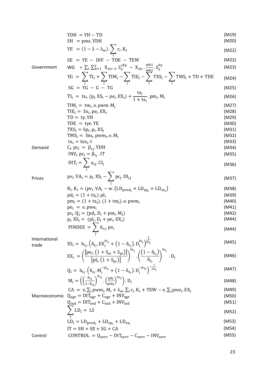YDH = YH - TD  
\nSH = pms.YDH  
\nWE = (1 – λ – λ<sub>w</sub>). P<sub>1</sub>, K<sub>1</sub> (M19)  
\nSE = YE – DIV – TDE – TEW (M22)  
\nSovermment  
\nWG = 
$$
\sum_{i} \sum_{i=1}^{n} X_{2n-1} S_{2n}^{Fey} - X_{2n} \frac{w_{D2}}{w_{D2}} S_{2}^{Fey}
$$
 (M22)  
\nGovernment  
\nG =  $\sum_{i} \prod_{i} + \sum_{i} \text{THM}_{i} - \sum_{i} \text{TE}_{i} - \sum_{i} \text{TXS}_{i} - \sum_{i} \text{TMS}_{i} + \text{TD} + \text{TDE} \tag{M28}\nG = YG – G – TG (M24)\nSG = YG – G – TG (M25)\nTIi = txi, (pi, XSi – pe, EXi) +  $\frac{K_{1}}{1 + K_{1}}$ , Pm<sub>i</sub>, M<sub>i</sub> (M26)  
\nTI<sub>1</sub> = tx<sub>i</sub>, (p<sub>i</sub>, XS<sub>i</sub> – p<sub>e</sub>, EX<sub>i</sub>) +  $\frac{K_{1}}{1 + K_{1}}$ , Pm<sub>i</sub>, M<sub>i</sub> (M27)  
\nTIE<sub>i</sub> = tx<sub>i</sub>, Pn<sub>i</sub>, XS<sub>i</sub> (M28)  
\nTDE = tyc. YE  
\nTXS<sub>i</sub> = Sp<sub>i</sub>, YDH  
\nTXS<sub>i</sub> = Sp<sub>i</sub>, YDH  
\nINW<sub>i</sub>, pc<sub>i</sub> = β<sub>i</sub>, I$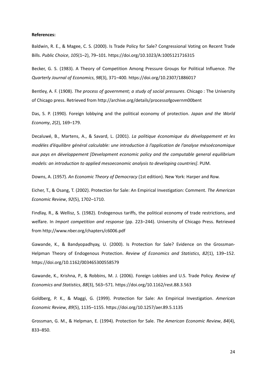#### **References:**

Baldwin, R. E., & Magee, C. S. (2000). Is Trade Policy for Sale? Congressional Voting on Recent Trade Bills. *Public Choice*, *105*(1–2), 79–101. https://doi.org/10.1023/A:1005121716315

Becker, G. S. (1983). A Theory of Competition Among Pressure Groups for Political Influence. *The Quarterly Journal of Economics*, *98*(3), 371–400. https://doi.org/10.2307/1886017

Bentley, A. F. (1908). *The process of government; a study of social pressures*. Chicago : The University of Chicago press. Retrieved from http://archive.org/details/processofgovernm00bent

Das, S. P. (1990). Foreign lobbying and the political economy of protection. *Japan and the World Economy*, *2*(2), 169–179.

Decaluwé, B., Martens, A., & Savard, L. (2001). *La politique économique du développement et les modèles d'équilibre général calculable: une introduction à l'application de l'analyse mésoéconomique aux pays en développement [Development economic policy and the computable general equilibrium models: an introduction to applied mesoeconomic analysis to developing countries]*. PUM.

Downs, A. (1957). *An Economic Theory of Democracy* (1st edition). New York: Harper and Row.

Eicher, T., & Osang, T. (2002). Protection for Sale: An Empirical Investigation: Comment. *The American Economic Review*, *92*(5), 1702–1710.

Findlay, R., & Wellisz, S. (1982). Endogenous tariffs, the political economy of trade restrictions, and welfare. In *Import competition and response* (pp. 223–244). University of Chicago Press. Retrieved from http://www.nber.org/chapters/c6006.pdf

Gawande, K., & Bandyopadhyay, U. (2000). Is Protection for Sale? Evidence on the Grossman‐ Helpman Theory of Endogenous Protection. *Review of Economics and Statistics*, *82*(1), 139–152. https://doi.org/10.1162/003465300558579

Gawande, K., Krishna, P., & Robbins, M. J. (2006). Foreign Lobbies and U.S. Trade Policy. *Review of Economics and Statistics*, *88*(3), 563–571. https://doi.org/10.1162/rest.88.3.563

Goldberg, P. K., & Maggi, G. (1999). Protection for Sale: An Empirical Investigation. *American Economic Review*, *89*(5), 1135–1155. https://doi.org/10.1257/aer.89.5.1135

Grossman, G. M., & Helpman, E. (1994). Protection for Sale. *The American Economic Review*, *84*(4), 833–850.